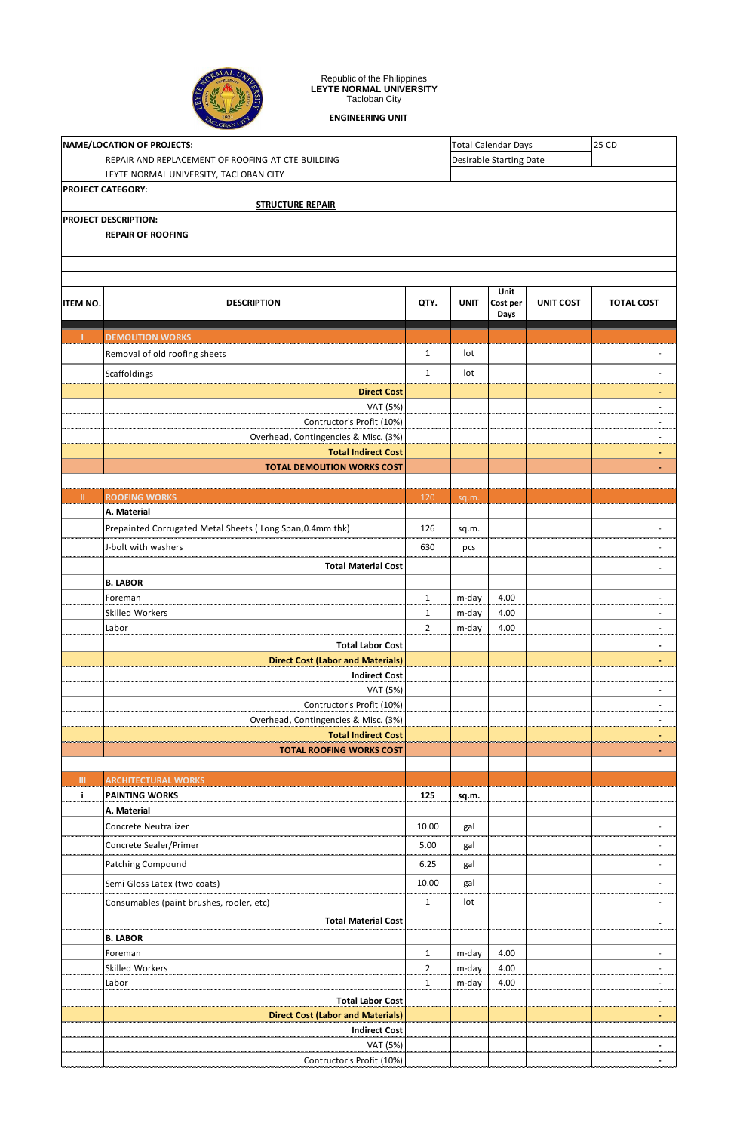

Republic of the Philippines **LEYTE NORMAL UNIVERSITY** Tacloban City

**ENGINEERING UNIT**

|          | NAME/LOCATION OF PROJECTS:                                          |                                |             | <b>Total Calendar Days</b>     |                  | <b>25 CD</b>                  |  |  |  |
|----------|---------------------------------------------------------------------|--------------------------------|-------------|--------------------------------|------------------|-------------------------------|--|--|--|
|          | REPAIR AND REPLACEMENT OF ROOFING AT CTE BUILDING                   |                                |             | <b>Desirable Starting Date</b> |                  |                               |  |  |  |
|          | LEYTE NORMAL UNIVERSITY, TACLOBAN CITY                              |                                |             |                                |                  |                               |  |  |  |
|          | <b>PROJECT CATEGORY:</b>                                            |                                |             |                                |                  |                               |  |  |  |
|          | <b>STRUCTURE REPAIR</b><br>PROJECT DESCRIPTION:                     |                                |             |                                |                  |                               |  |  |  |
|          | <b>REPAIR OF ROOFING</b>                                            |                                |             |                                |                  |                               |  |  |  |
|          |                                                                     |                                |             |                                |                  |                               |  |  |  |
|          |                                                                     |                                |             |                                |                  |                               |  |  |  |
|          |                                                                     |                                |             | Unit                           |                  |                               |  |  |  |
| ITEM NO. | <b>DESCRIPTION</b>                                                  | QTY.                           | <b>UNIT</b> | Cost per<br>Days               | <b>UNIT COST</b> | <b>TOTAL COST</b>             |  |  |  |
| т        | <b>DEMOLITION WORKS</b>                                             |                                |             |                                |                  |                               |  |  |  |
|          | Removal of old roofing sheets                                       | $\mathbf{1}$                   | lot         |                                |                  |                               |  |  |  |
|          | Scaffoldings                                                        | $\mathbf{1}$                   | lot         |                                |                  |                               |  |  |  |
|          | <b>Direct Cost</b>                                                  |                                |             |                                |                  |                               |  |  |  |
|          | VAT (5%)                                                            |                                |             |                                |                  | $\blacksquare$                |  |  |  |
|          | Contructor's Profit (10%)                                           |                                |             |                                |                  | $\blacksquare$                |  |  |  |
|          | Overhead, Contingencies & Misc. (3%)<br><b>Total Indirect Cost</b>  |                                |             |                                |                  |                               |  |  |  |
|          | <b>TOTAL DEMOLITION WORKS COST</b>                                  |                                |             |                                |                  |                               |  |  |  |
|          |                                                                     |                                |             |                                |                  |                               |  |  |  |
| Ш.       | <b>ROOFING WORKS</b>                                                | 120                            | sq.m.       |                                |                  |                               |  |  |  |
|          | A. Material                                                         |                                |             |                                |                  |                               |  |  |  |
|          | Prepainted Corrugated Metal Sheets (Long Span, 0.4mm thk)           | 126                            | sq.m.       |                                |                  |                               |  |  |  |
|          | J-bolt with washers                                                 | 630                            | pcs         |                                |                  |                               |  |  |  |
|          | <b>Total Material Cost</b>                                          |                                |             |                                |                  |                               |  |  |  |
|          | <b>B. LABOR</b>                                                     |                                |             |                                |                  |                               |  |  |  |
|          | Foreman                                                             | $\mathbf{1}$                   | m-day       | 4.00                           |                  |                               |  |  |  |
|          | Skilled Workers                                                     | $\mathbf{1}$<br>$\overline{2}$ | m-day       | 4.00<br>4.00                   |                  | ٠<br>$\overline{\phantom{a}}$ |  |  |  |
|          | Labor<br><b>Total Labor Cost</b>                                    |                                | m-day       |                                |                  |                               |  |  |  |
|          | <b>Direct Cost (Labor and Materials)</b>                            |                                |             |                                |                  | $\blacksquare$                |  |  |  |
|          | <b>Indirect Cost</b>                                                |                                |             |                                |                  |                               |  |  |  |
|          | VAT (5%)                                                            |                                |             |                                |                  | $\blacksquare$                |  |  |  |
|          | Contructor's Profit (10%)                                           |                                |             |                                |                  | $\overline{\phantom{0}}$      |  |  |  |
|          | Overhead, Contingencies & Misc. (3%)                                |                                |             |                                |                  | $\overline{\phantom{0}}$      |  |  |  |
|          | <b>Total Indirect Cost</b><br><b>TOTAL ROOFING WORKS COST</b>       |                                |             |                                |                  |                               |  |  |  |
|          |                                                                     |                                |             |                                |                  |                               |  |  |  |
| III.     | <b>ARCHITECTURAL WORKS</b>                                          |                                |             |                                |                  |                               |  |  |  |
| j.       | <b>PAINTING WORKS</b>                                               | 125                            | sq.m.       |                                |                  |                               |  |  |  |
|          | A. Material                                                         |                                |             |                                |                  |                               |  |  |  |
|          | Concrete Neutralizer                                                | 10.00                          | gal         |                                |                  |                               |  |  |  |
|          | Concrete Sealer/Primer                                              | 5.00                           | gal         |                                |                  |                               |  |  |  |
|          | <b>Patching Compound</b>                                            | 6.25                           | gal         |                                |                  | ٠                             |  |  |  |
|          | Semi Gloss Latex (two coats)                                        | 10.00                          | gal         |                                |                  |                               |  |  |  |
|          | Consumables (paint brushes, rooler, etc)                            | $\mathbf{1}$                   | lot         |                                |                  |                               |  |  |  |
|          | <b>Total Material Cost</b>                                          |                                |             |                                |                  | $\overline{\phantom{0}}$      |  |  |  |
|          | <b>B. LABOR</b>                                                     |                                |             |                                |                  |                               |  |  |  |
|          | Foreman                                                             | $\mathbf{1}$                   | m-day       | 4.00                           |                  |                               |  |  |  |
|          | Skilled Workers                                                     | $\overline{2}$                 | m-day       | 4.00                           |                  | ٠                             |  |  |  |
|          | Labor                                                               | $\mathbf{1}$                   | m-day       | 4.00                           |                  |                               |  |  |  |
|          | <b>Total Labor Cost</b><br><b>Direct Cost (Labor and Materials)</b> |                                |             |                                |                  | $\blacksquare$<br>٠           |  |  |  |
|          | <b>Indirect Cost</b>                                                |                                |             |                                |                  |                               |  |  |  |
|          | VAT (5%)                                                            |                                |             |                                |                  | $\blacksquare$                |  |  |  |
|          | Contructor's Profit (10%)                                           |                                |             |                                |                  |                               |  |  |  |